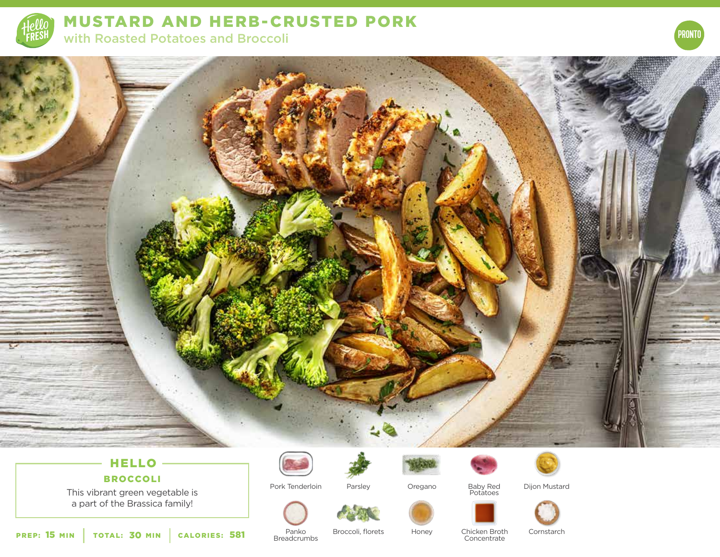

MUSTARD AND HERB-CRUSTED PORK with Roasted Potatoes and Broccoli





## HELLO

BROCCOLI

This vibrant green vegetable is a part of the Brassica family!

Pork Tenderloin





Oregano

Baby Red Potatoes



Dijon Mustard



PREP: 15 MIN | TOTAL: 30 MIN | CALORIES:

Panko **Breadcrumbs** 

**581** Panko Broccoli, florets Honey Chicken Broth Panko<br>Concentrate Concentrate

Parsley

**Concentrate** 

Cornstarch